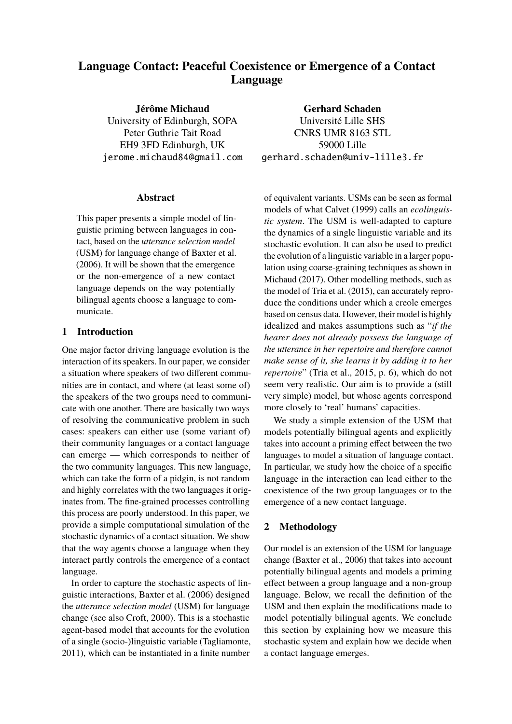# **Language Contact: Peaceful Coexistence or Emergence of a Contact Language**

**Jérôme Michaud** University of Edinburgh, SOPA Peter Guthrie Tait Road EH9 3FD Edinburgh, UK jerome.michaud84@gmail.com

## **Abstract**

This paper presents a simple model of linguistic priming between languages in contact, based on the *utterance selection model* (USM) for language change of Baxter et al. (2006). It will be shown that the emergence or the non-emergence of a new contact language depends on the way potentially bilingual agents choose a language to communicate.

# **1 Introduction**

One major factor driving language evolution is the interaction of its speakers. In our paper, we consider a situation where speakers of two different communities are in contact, and where (at least some of) the speakers of the two groups need to communicate with one another. There are basically two ways of resolving the communicative problem in such cases: speakers can either use (some variant of) their community languages or a contact language can emerge — which corresponds to neither of the two community languages. This new language, which can take the form of a pidgin, is not random and highly correlates with the two languages it originates from. The fine-grained processes controlling this process are poorly understood. In this paper, we provide a simple computational simulation of the stochastic dynamics of a contact situation. We show that the way agents choose a language when they interact partly controls the emergence of a contact language.

In order to capture the stochastic aspects of linguistic interactions, Baxter et al. (2006) designed the *utterance selection model* (USM) for language change (see also Croft, 2000). This is a stochastic agent-based model that accounts for the evolution of a single (socio-)linguistic variable (Tagliamonte, 2011), which can be instantiated in a finite number

**Gerhard Schaden** Université Lille SHS CNRS UMR 8163 STL 59000 Lille gerhard.schaden@univ-lille3.fr

of equivalent variants. USMs can be seen as formal models of what Calvet (1999) calls an *ecolinguistic system*. The USM is well-adapted to capture the dynamics of a single linguistic variable and its stochastic evolution. It can also be used to predict the evolution of a linguistic variable in a larger population using coarse-graining techniques as shown in Michaud (2017). Other modelling methods, such as the model of Tria et al. (2015), can accurately reproduce the conditions under which a creole emerges based on census data. However, their model is highly idealized and makes assumptions such as "*if the hearer does not already possess the language of the utterance in her repertoire and therefore cannot make sense of it, she learns it by adding it to her repertoire*" (Tria et al., 2015, p. 6), which do not seem very realistic. Our aim is to provide a (still very simple) model, but whose agents correspond more closely to 'real' humans' capacities.

We study a simple extension of the USM that models potentially bilingual agents and explicitly takes into account a priming effect between the two languages to model a situation of language contact. In particular, we study how the choice of a specific language in the interaction can lead either to the coexistence of the two group languages or to the emergence of a new contact language.

# **2 Methodology**

Our model is an extension of the USM for language change (Baxter et al., 2006) that takes into account potentially bilingual agents and models a priming effect between a group language and a non-group language. Below, we recall the definition of the USM and then explain the modifications made to model potentially bilingual agents. We conclude this section by explaining how we measure this stochastic system and explain how we decide when a contact language emerges.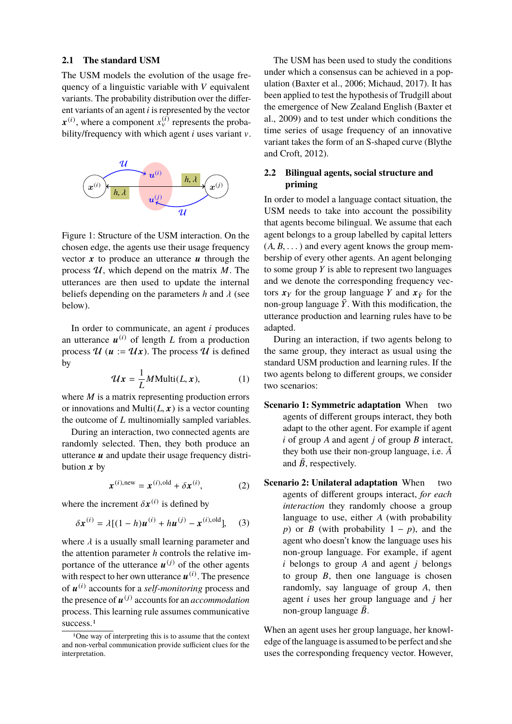#### **2.1 The standard USM**

The USM models the evolution of the usage frequency of a linguistic variable with *V* equivalent variants. The probability distribution over the different variants of an agent *i* is represented by the vector  $\mathbf{x}^{(i)}$ , where a component  $x_v^{(i)}$  represents the probability/frequency with which agent *i* uses variant v.



Figure 1: Structure of the USM interaction. On the chosen edge, the agents use their usage frequency vector  $x$  to produce an utterance  $u$  through the process  $U$ , which depend on the matrix  $M$ . The utterances are then used to update the internal beliefs depending on the parameters *h* and λ (see below).

In order to communicate, an agent *i* produces an utterance  $u^{(i)}$  of length *L* from a production process  $\mathcal{U}(u := \mathcal{U}x)$ . The process  $\mathcal{U}$  is defined by

$$
\mathcal{U}x = \frac{1}{L}M\text{Multi}(L, x),\tag{1}
$$

where *M* is a matrix representing production errors or innovations and Multi $(L, x)$  is a vector counting the outcome of *L* multinomially sampled variables.

During an interaction, two connected agents are randomly selected. Then, they both produce an utterance  $\boldsymbol{u}$  and update their usage frequency distribution  $x$  by

$$
\boldsymbol{x}^{(i),\text{new}} = \boldsymbol{x}^{(i),\text{old}} + \delta \boldsymbol{x}^{(i)},\tag{2}
$$

where the increment  $\delta x^{(i)}$  is defined by

$$
\delta x^{(i)} = \lambda [(1-h)u^{(i)} + hu^{(j)} - x^{(i),\text{old}}], \quad (3)
$$

where  $\lambda$  is a usually small learning parameter and the attention parameter *h* controls the relative importance of the utterance  $\mathbf{u}^{(j)}$  of the other agents with respect to her own utterance  $\boldsymbol{u}^{(i)}$ . The presence of u (i) accounts for a *self-monitoring* process and the presence of  $\mathbf{u}^{(j)}$  accounts for an *accommodation* process. This learning rule assumes communicative success.<sup>1</sup>

The USM has been used to study the conditions under which a consensus can be achieved in a population (Baxter et al., 2006; Michaud, 2017). It has been applied to test the hypothesis of Trudgill about the emergence of New Zealand English (Baxter et al., 2009) and to test under which conditions the time series of usage frequency of an innovative variant takes the form of an S-shaped curve (Blythe and Croft, 2012).

## **2.2 Bilingual agents, social structure and priming**

In order to model a language contact situation, the USM needs to take into account the possibility that agents become bilingual. We assume that each agent belongs to a group labelled by capital letters  $(A, B, \ldots)$  and every agent knows the group membership of every other agents. An agent belonging to some group *Y* is able to represent two languages and we denote the corresponding frequency vectors  $x<sub>Y</sub>$  for the group language *Y* and  $x<sub>\bar{Y}</sub>$  for the non-group language  $\bar{Y}$ . With this modification, the utterance production and learning rules have to be adapted.

During an interaction, if two agents belong to the same group, they interact as usual using the standard USM production and learning rules. If the two agents belong to different groups, we consider two scenarios:

- **Scenario 1: Symmetric adaptation** When two agents of different groups interact, they both adapt to the other agent. For example if agent *i* of group *A* and agent *j* of group *B* interact, they both use their non-group language, i.e.  $\bar{A}$ and  $\bar{B}$ , respectively.
- **Scenario 2: Unilateral adaptation** When two agents of different groups interact, *for each interaction* they randomly choose a group language to use, either *A* (with probability *p*) or *B* (with probability  $1 - p$ ), and the agent who doesn't know the language uses his non-group language. For example, if agent *i* belongs to group *A* and agent *j* belongs to group *B*, then one language is chosen randomly, say language of group *A*, then agent *i* uses her group language and *j* her non-group language  $\bar{B}$ .

When an agent uses her group language, her knowledge of the language is assumed to be perfect and she uses the corresponding frequency vector. However,

<sup>1</sup>One way of interpreting this is to assume that the context and non-verbal communication provide sufficient clues for the interpretation.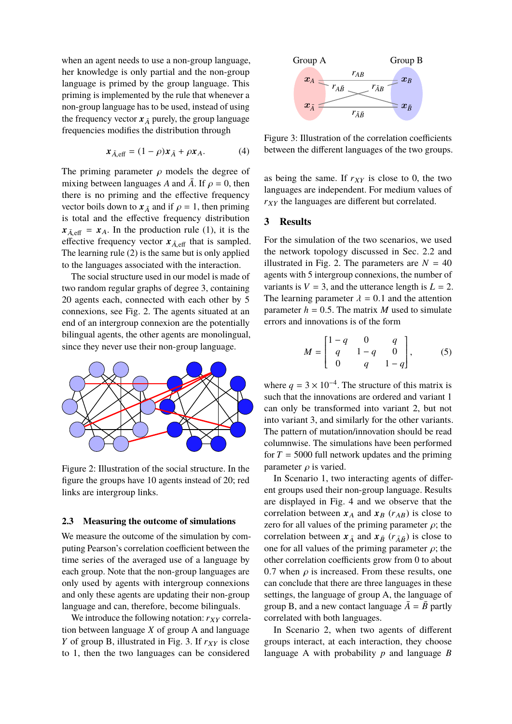when an agent needs to use a non-group language, her knowledge is only partial and the non-group language is primed by the group language. This priming is implemented by the rule that whenever a non-group language has to be used, instead of using the frequency vector  $x_{\overline{A}}$  purely, the group language frequencies modifies the distribution through

$$
\mathbf{x}_{\bar{A},\text{eff}} = (1 - \rho)\mathbf{x}_{\bar{A}} + \rho \mathbf{x}_A. \tag{4}
$$

The priming parameter  $\rho$  models the degree of mixing between languages *A* and  $\overline{A}$ . If  $\rho = 0$ , then there is no priming and the effective frequency vector boils down to  $x_{\bar{A}}$  and if  $\rho = 1$ , then priming is total and the effective frequency distribution  $x_{\bar{A} \text{ eff}} = x_A$ . In the production rule (1), it is the effective frequency vector  $x_{\bar{A},\text{eff}}$  that is sampled. The learning rule (2) is the same but is only applied to the languages associated with the interaction.

The social structure used in our model is made of two random regular graphs of degree 3, containing 20 agents each, connected with each other by 5 connexions, see Fig. 2. The agents situated at an end of an intergroup connexion are the potentially bilingual agents, the other agents are monolingual, since they never use their non-group language.



Figure 2: Illustration of the social structure. In the figure the groups have 10 agents instead of 20; red links are intergroup links.

#### **2.3 Measuring the outcome of simulations**

We measure the outcome of the simulation by computing Pearson's correlation coefficient between the time series of the averaged use of a language by each group. Note that the non-group languages are only used by agents with intergroup connexions and only these agents are updating their non-group language and can, therefore, become bilinguals.

We introduce the following notation:  $r_{XY}$  correlation between language *X* of group A and language *Y* of group B, illustrated in Fig. 3. If  $r_{XY}$  is close to 1, then the two languages can be considered



Figure 3: Illustration of the correlation coefficients between the different languages of the two groups.

as being the same. If  $r_{XY}$  is close to 0, the two languages are independent. For medium values of  $r_{XY}$  the languages are different but correlated.

# **3 Results**

For the simulation of the two scenarios, we used the network topology discussed in Sec. 2.2 and illustrated in Fig. 2. The parameters are  $N = 40$ agents with 5 intergroup connexions, the number of variants is  $V = 3$ , and the utterance length is  $L = 2$ . The learning parameter  $\lambda = 0.1$  and the attention parameter  $h = 0.5$ . The matrix *M* used to simulate errors and innovations is of the form

$$
M = \begin{bmatrix} 1-q & 0 & q \\ q & 1-q & 0 \\ 0 & q & 1-q \end{bmatrix},
$$
 (5)

where  $q = 3 \times 10^{-4}$ . The structure of this matrix is such that the innovations are ordered and variant 1 can only be transformed into variant 2, but not into variant 3, and similarly for the other variants. The pattern of mutation/innovation should be read columnwise. The simulations have been performed for  $T = 5000$  full network updates and the priming parameter  $\rho$  is varied.

In Scenario 1, two interacting agents of different groups used their non-group language. Results are displayed in Fig. 4 and we observe that the correlation between  $x_A$  and  $x_B$  ( $r_{AB}$ ) is close to zero for all values of the priming parameter  $\rho$ ; the correlation between  $x_{\bar{A}}$  and  $x_{\bar{B}}$  ( $r_{\bar{A}\bar{B}}$ ) is close to one for all values of the priming parameter  $\rho$ ; the other correlation coefficients grow from 0 to about 0.7 when  $\rho$  is increased. From these results, one can conclude that there are three languages in these settings, the language of group A, the language of group B, and a new contact language  $\overline{A} = \overline{B}$  partly correlated with both languages.

In Scenario 2, when two agents of different groups interact, at each interaction, they choose language A with probability *p* and language *B*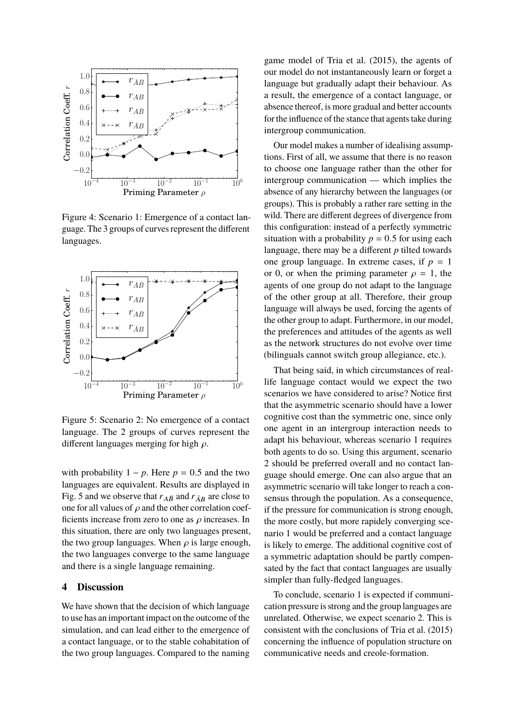

Figure 4: Scenario 1: Emergence of a contact language. The 3 groups of curves represent the different languages.



Figure 5: Scenario 2: No emergence of a contact language. The 2 groups of curves represent the different languages merging for high  $\rho$ .

with probability  $1 - p$ . Here  $p = 0.5$  and the two languages are equivalent. Results are displayed in Fig. 5 and we observe that  $r_{\bar{A}\bar{B}}$  and  $r_{\bar{A}B}$  are close to one for all values of  $\rho$  and the other correlation coefficients increase from zero to one as  $\rho$  increases. In this situation, there are only two languages present, the two group languages. When  $\rho$  is large enough, the two languages converge to the same language and there is a single language remaining.

### **4 Discussion**

We have shown that the decision of which language to use has an important impact on the outcome of the simulation, and can lead either to the emergence of a contact language, or to the stable cohabitation of the two group languages. Compared to the naming game model of Tria et al. (2015), the agents of our model do not instantaneously learn or forget a language but gradually adapt their behaviour. As a result, the emergence of a contact language, or absence thereof, is more gradual and better accounts for the influence of the stance that agents take during intergroup communication.

Our model makes a number of idealising assumptions. First of all, we assume that there is no reason to choose one language rather than the other for intergroup communication — which implies the absence of any hierarchy between the languages (or groups). This is probably a rather rare setting in the wild. There are different degrees of divergence from this configuration: instead of a perfectly symmetric situation with a probability  $p = 0.5$  for using each language, there may be a different *p* tilted towards one group language. In extreme cases, if  $p = 1$ or 0, or when the priming parameter  $\rho = 1$ , the agents of one group do not adapt to the language of the other group at all. Therefore, their group language will always be used, forcing the agents of the other group to adapt. Furthermore, in our model, the preferences and attitudes of the agents as well as the network structures do not evolve over time (bilinguals cannot switch group allegiance, etc.).

That being said, in which circumstances of reallife language contact would we expect the two scenarios we have considered to arise? Notice first that the asymmetric scenario should have a lower cognitive cost than the symmetric one, since only one agent in an intergroup interaction needs to adapt his behaviour, whereas scenario 1 requires both agents to do so. Using this argument, scenario 2 should be preferred overall and no contact language should emerge. One can also argue that an asymmetric scenario will take longer to reach a consensus through the population. As a consequence, if the pressure for communication is strong enough, the more costly, but more rapidely converging scenario 1 would be preferred and a contact language is likely to emerge. The additional cognitive cost of a symmetric adaptation should be partly compensated by the fact that contact languages are usually simpler than fully-fledged languages.

To conclude, scenario 1 is expected if communication pressure is strong and the group languages are unrelated. Otherwise, we expect scenario 2. This is consistent with the conclusions of Tria et al. (2015) concerning the influence of population structure on communicative needs and creole-formation.